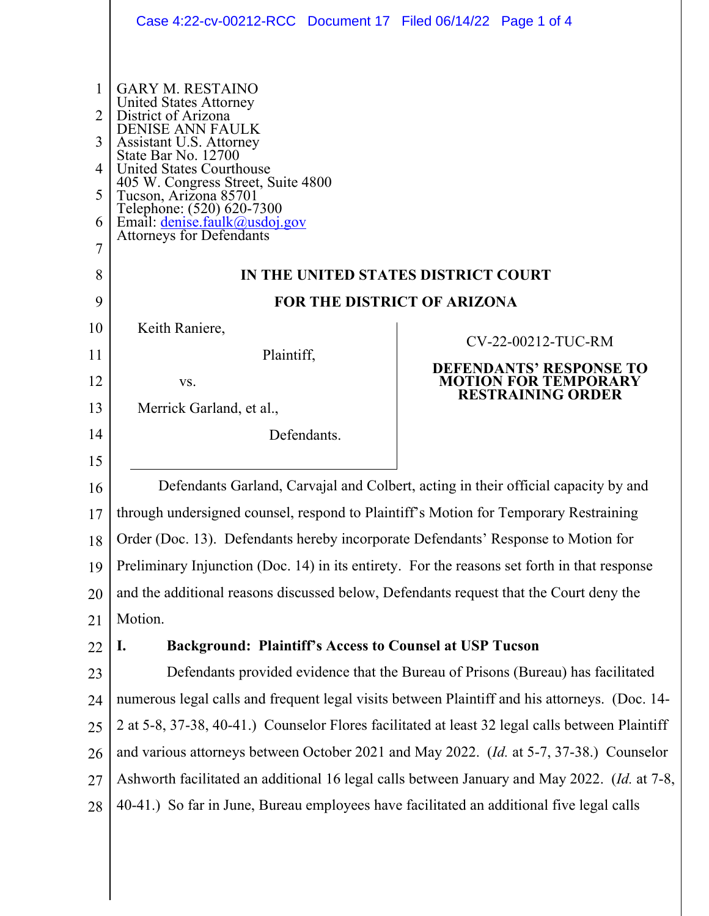|                                      | Case 4:22-cv-00212-RCC Document 17 Filed 06/14/22 Page 1 of 4                                                                                                                                                                                                                                                                                                                                   |                                                                                                                 |
|--------------------------------------|-------------------------------------------------------------------------------------------------------------------------------------------------------------------------------------------------------------------------------------------------------------------------------------------------------------------------------------------------------------------------------------------------|-----------------------------------------------------------------------------------------------------------------|
| 1<br>2<br>3<br>4<br>5<br>6<br>7<br>8 | <b>GARY M. RESTAINO</b><br><b>United States Attorney</b><br>District of Arizona<br><b>DENISE ANN FAULK</b><br>Assistant U.S. Attorney<br>State Bar No. 12700<br>United States Courthouse<br>405 W. Congress Street, Suite 4800<br>Tucson, Arizona 85701<br>Telephone: (520) 620-7300<br>Email: <u>denise.faulk@usdoj.gov</u><br>Attorneys for Defendants<br>IN THE UNITED STATES DISTRICT COURT |                                                                                                                 |
| 9                                    | <b>FOR THE DISTRICT OF ARIZONA</b>                                                                                                                                                                                                                                                                                                                                                              |                                                                                                                 |
| 10<br>11<br>12<br>13                 | Keith Raniere,<br>Plaintiff,<br>VS.<br>Merrick Garland, et al.,                                                                                                                                                                                                                                                                                                                                 | CV-22-00212-TUC-RM<br><b>DEFENDANTS' RESPONSE TO</b><br><b>MOTION FOR TEMPORARY</b><br><b>RESTRAINING ORDER</b> |
| 14                                   | Defendants.                                                                                                                                                                                                                                                                                                                                                                                     |                                                                                                                 |
| 15                                   |                                                                                                                                                                                                                                                                                                                                                                                                 |                                                                                                                 |
| 16                                   | Defendants Garland, Carvajal and Colbert, acting in their official capacity by and                                                                                                                                                                                                                                                                                                              |                                                                                                                 |
| 17                                   | through undersigned counsel, respond to Plaintiff's Motion for Temporary Restraining                                                                                                                                                                                                                                                                                                            |                                                                                                                 |
| 18                                   | Order (Doc. 13). Defendants hereby incorporate Defendants' Response to Motion for                                                                                                                                                                                                                                                                                                               |                                                                                                                 |
| 19                                   | Preliminary Injunction (Doc. 14) in its entirety. For the reasons set forth in that response                                                                                                                                                                                                                                                                                                    |                                                                                                                 |
| 20                                   | and the additional reasons discussed below, Defendants request that the Court deny the                                                                                                                                                                                                                                                                                                          |                                                                                                                 |
| 21                                   | Motion.                                                                                                                                                                                                                                                                                                                                                                                         |                                                                                                                 |
| 22                                   | <b>Background: Plaintiff's Access to Counsel at USP Tucson</b><br>I.                                                                                                                                                                                                                                                                                                                            |                                                                                                                 |
| 23                                   | Defendants provided evidence that the Bureau of Prisons (Bureau) has facilitated                                                                                                                                                                                                                                                                                                                |                                                                                                                 |
| 24                                   | numerous legal calls and frequent legal visits between Plaintiff and his attorneys. (Doc. 14-                                                                                                                                                                                                                                                                                                   |                                                                                                                 |
| 25                                   | 2 at 5-8, 37-38, 40-41.) Counselor Flores facilitated at least 32 legal calls between Plaintiff                                                                                                                                                                                                                                                                                                 |                                                                                                                 |
| 26                                   | and various attorneys between October 2021 and May 2022. (Id. at 5-7, 37-38.) Counselor                                                                                                                                                                                                                                                                                                         |                                                                                                                 |
| 27                                   |                                                                                                                                                                                                                                                                                                                                                                                                 |                                                                                                                 |
|                                      | Ashworth facilitated an additional 16 legal calls between January and May 2022. (Id. at 7-8,                                                                                                                                                                                                                                                                                                    |                                                                                                                 |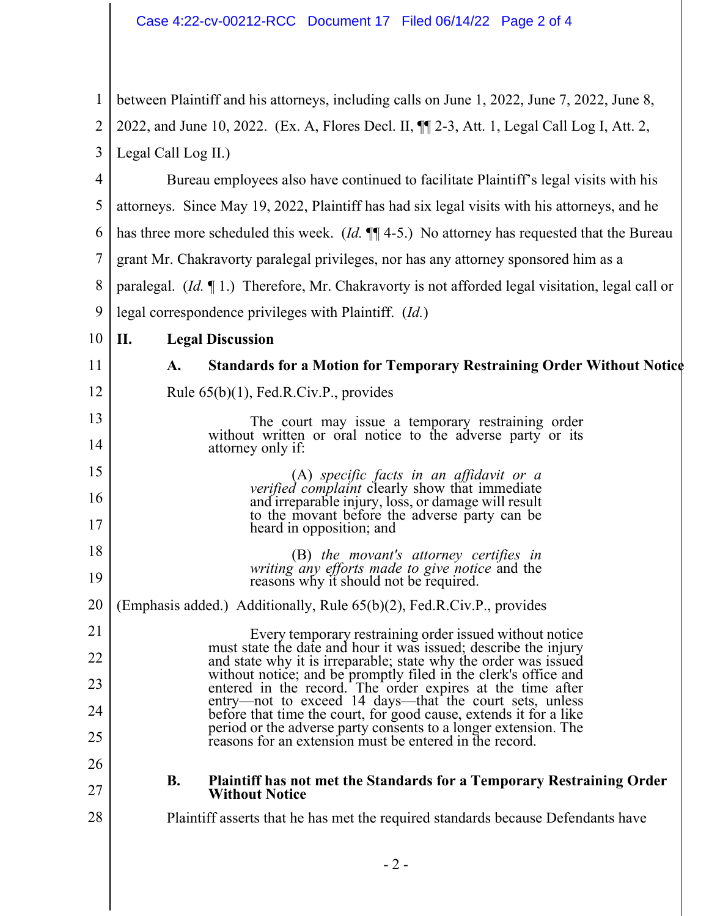1 2 3 4 5 6 7 8 9 10 11 12 13 14 15 16 17 18 19 20 21 22 23 24 25 26 27 28 between Plaintiff and his attorneys, including calls on June 1, 2022, June 7, 2022, June 8, 2022, and June 10, 2022. (Ex. A, Flores Decl. II, ¶¶ 2-3, Att. 1, Legal Call Log I, Att. 2, Legal Call Log II.) Bureau employees also have continued to facilitate Plaintiff's legal visits with his attorneys. Since May 19, 2022, Plaintiff has had six legal visits with his attorneys, and he has three more scheduled this week. (*Id.* ¶¶ 4-5.) No attorney has requested that the Bureau grant Mr. Chakravorty paralegal privileges, nor has any attorney sponsored him as a paralegal. (*Id.* ¶ 1.) Therefore, Mr. Chakravorty is not afforded legal visitation, legal call or legal correspondence privileges with Plaintiff. (*Id.*) **II. Legal Discussion A. Standards for a Motion for Temporary Restraining Order Without Notice** Rule 65(b)(1), Fed.R.Civ.P., provides The court may issue a temporary restraining order without written or oral notice to the adverse party or its attorney only if: (A) *specific facts in an affidavit or a verified complaint* clearly show that immediate and irreparable injury, loss, or damage will result to the movant before the adverse party can be heard in opposition; and (B) *the movant's attorney certifies in writing any efforts made to give notice* and the reasons why it should not be required. (Emphasis added.) Additionally, Rule 65(b)(2), Fed.R.Civ.P., provides Every temporary restraining order issued without notice must state the date and hour it was issued; describe the injury and state why it is irreparable; state why the order was issued without notice; and be promptly filed in the clerk's office and entered in the record. The order expires at the time after entry—not to exceed 14 days—that the court sets, unless before that time the court, for good cause, extends it for a like period or the adverse party consents to a longer extension. The reasons for an extension must be entered in the record. **B. Plaintiff has not met the Standards for a Temporary Restraining Order Without Notice** Plaintiff asserts that he has met the required standards because Defendants have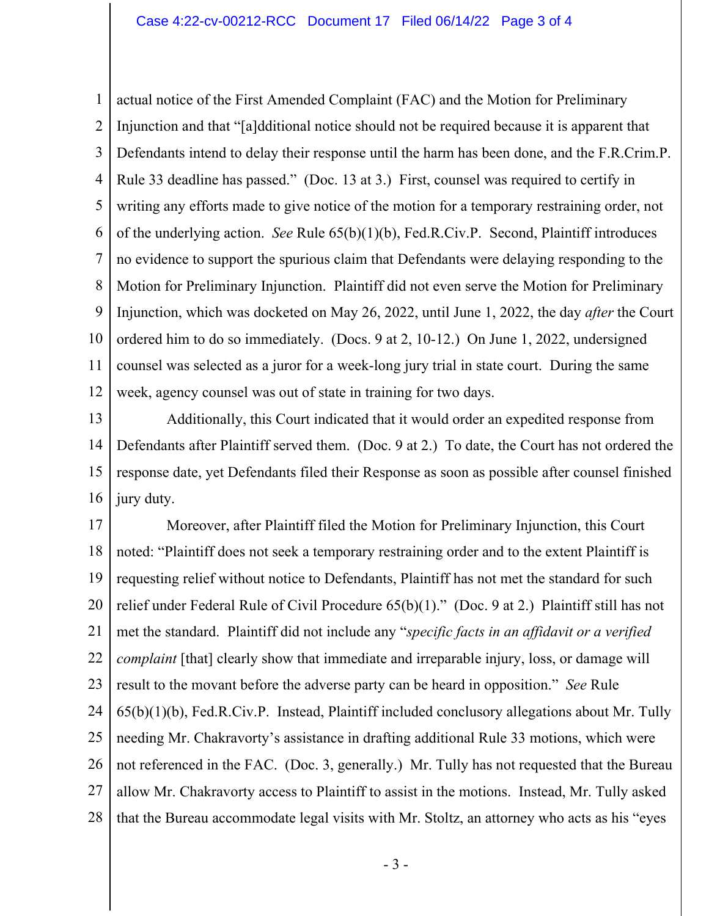1 2 3 4 5 6 7 8 9 10 11 12 actual notice of the First Amended Complaint (FAC) and the Motion for Preliminary Injunction and that "[a]dditional notice should not be required because it is apparent that Defendants intend to delay their response until the harm has been done, and the F.R.Crim.P. Rule 33 deadline has passed." (Doc. 13 at 3.) First, counsel was required to certify in writing any efforts made to give notice of the motion for a temporary restraining order, not of the underlying action. *See* Rule 65(b)(1)(b), Fed.R.Civ.P. Second, Plaintiff introduces no evidence to support the spurious claim that Defendants were delaying responding to the Motion for Preliminary Injunction. Plaintiff did not even serve the Motion for Preliminary Injunction, which was docketed on May 26, 2022, until June 1, 2022, the day *after* the Court ordered him to do so immediately. (Docs. 9 at 2, 10-12.) On June 1, 2022, undersigned counsel was selected as a juror for a week-long jury trial in state court. During the same week, agency counsel was out of state in training for two days.

13 14 15 16 Additionally, this Court indicated that it would order an expedited response from Defendants after Plaintiff served them. (Doc. 9 at 2.) To date, the Court has not ordered the response date, yet Defendants filed their Response as soon as possible after counsel finished jury duty.

17 18 19 20 21 22 23 24 25 26 27 28 Moreover, after Plaintiff filed the Motion for Preliminary Injunction, this Court noted: "Plaintiff does not seek a temporary restraining order and to the extent Plaintiff is requesting relief without notice to Defendants, Plaintiff has not met the standard for such relief under Federal Rule of Civil Procedure 65(b)(1)." (Doc. 9 at 2.) Plaintiff still has not met the standard. Plaintiff did not include any "*specific facts in an affidavit or a verified complaint* [that] clearly show that immediate and irreparable injury, loss, or damage will result to the movant before the adverse party can be heard in opposition." *See* Rule 65(b)(1)(b), Fed.R.Civ.P. Instead, Plaintiff included conclusory allegations about Mr. Tully needing Mr. Chakravorty's assistance in drafting additional Rule 33 motions, which were not referenced in the FAC. (Doc. 3, generally.) Mr. Tully has not requested that the Bureau allow Mr. Chakravorty access to Plaintiff to assist in the motions. Instead, Mr. Tully asked that the Bureau accommodate legal visits with Mr. Stoltz, an attorney who acts as his "eyes